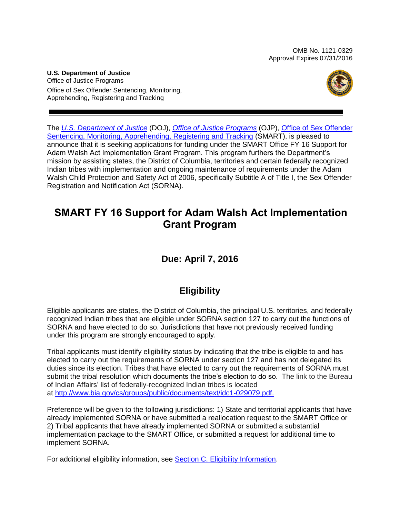OMB No. 1121-0329 Approval Expires 07/31/2016

**U.S. Department of Justice** Office of Justice Programs Office of Sex Offender Sentencing, Monitoring, Apprehending, Registering and Tracking



The *[U.S. Department of](http://www.usdoj.gov/) Justice* (DOJ), *[Office of Justice Programs](http://www.ojp.usdoj.gov/)* (OJP), [Office of Sex Offender](http://www.ojp.usdoj.gov/smart)  [Sentencing, Monitoring, Apprehending, Registering and Tracking](http://www.ojp.usdoj.gov/smart) (SMART), is pleased to announce that it is seeking applications for funding under the SMART Office FY 16 Support for Adam Walsh Act Implementation Grant Program. This program furthers the Department's mission by assisting states, the District of Columbia, territories and certain federally recognized Indian tribes with implementation and ongoing maintenance of requirements under the Adam Walsh Child Protection and Safety Act of 2006, specifically Subtitle A of Title I, the Sex Offender Registration and Notification Act (SORNA).

# **SMART FY 16 Support for Adam Walsh Act Implementation Grant Program**

# **Due: April 7, 2016**

# **Eligibility**

Eligible applicants are states, the District of Columbia, the principal U.S. territories, and federally recognized Indian tribes that are eligible under SORNA section 127 to carry out the functions of SORNA and have elected to do so. Jurisdictions that have not previously received funding under this program are strongly encouraged to apply.

Tribal applicants must identify eligibility status by indicating that the tribe is eligible to and has elected to carry out the requirements of SORNA under section 127 and has not delegated its duties since its election. Tribes that have elected to carry out the requirements of SORNA must submit the tribal resolution which documents the tribe's election to do so.The link to the Bureau of Indian Affairs' list of federally-recognized Indian tribes is located at [http://www.bia.gov/cs/groups/public/documents/text/idc1-029079.pdf.](http://www.bia.gov/cs/groups/public/documents/text/idc1-029079.pdf)

Preference will be given to the following jurisdictions: 1) State and territorial applicants that have already implemented SORNA or have submitted a reallocation request to the SMART Office or 2) Tribal applicants that have already implemented SORNA or submitted a substantial implementation package to the SMART Office, or submitted a request for additional time to implement SORNA.

For additional eligibility information, see [Section C. Eligibility Information.](#page-10-0)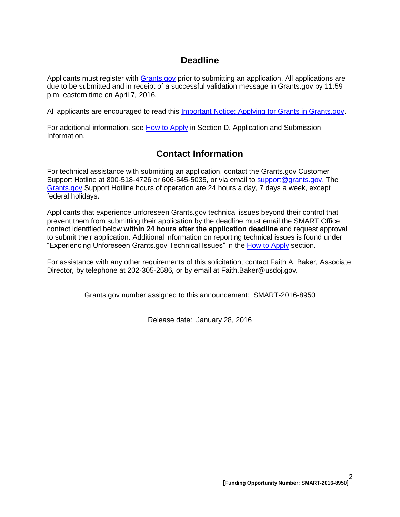# **Deadline**

Applicants must register with **Grants.gov** prior to submitting an application. All applications are due to be submitted and in receipt of a successful validation message in Grants.gov by 11:59 p.m. eastern time on April 7*,* 2016*.*

All applicants are encouraged to read this [Important Notice: Applying for Grants in Grants.gov.](http://ojp.gov/funding/Apply/Grants-govInfo.htm)

For additional information, see [How to Apply](#page-20-0) in Section [D. Application and Submission](#page-10-1)  [Information.](#page-10-1)

# **Contact Information**

For technical assistance with submitting an application, contact the Grants.gov Customer Support Hotline at 800-518-4726 or 606-545-5035, or via email to [support@grants.gov.](mailto:support@grants.gov) The [Grants.gov](http://www.grants.gov/applicants/apply_for_grants.jsp) Support Hotline hours of operation are 24 hours a day, 7 days a week, except federal holidays.

Applicants that experience unforeseen Grants.gov technical issues beyond their control that prevent them from submitting their application by the deadline must email the SMART Office contact identified below **within 24 hours after the application deadline** and request approval to submit their application. Additional information on reporting technical issues is found under "Experiencing Unforeseen Grants.gov Technical Issues" in the [How to Apply](#page-20-0) section.

For assistance with any other requirements of this solicitation, contact Faith A. Baker*,* Associate Director*,* by telephone at 202-305-2586*,* or by email at Faith.Baker@usdoj.gov*.*

Grants.gov number assigned to this announcement: SMART-2016-8950

Release date: January 28, 2016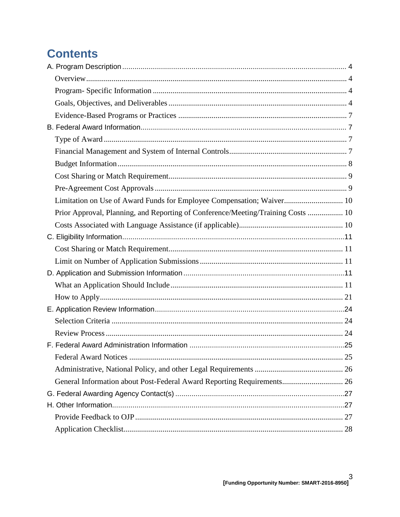# **Contents**

| Limitation on Use of Award Funds for Employee Compensation; Waiver 10            |  |
|----------------------------------------------------------------------------------|--|
| Prior Approval, Planning, and Reporting of Conference/Meeting/Training Costs  10 |  |
|                                                                                  |  |
|                                                                                  |  |
|                                                                                  |  |
|                                                                                  |  |
|                                                                                  |  |
|                                                                                  |  |
|                                                                                  |  |
|                                                                                  |  |
|                                                                                  |  |
|                                                                                  |  |
|                                                                                  |  |
|                                                                                  |  |
|                                                                                  |  |
| General Information about Post-Federal Award Reporting Requirements 26           |  |
|                                                                                  |  |
|                                                                                  |  |
|                                                                                  |  |
|                                                                                  |  |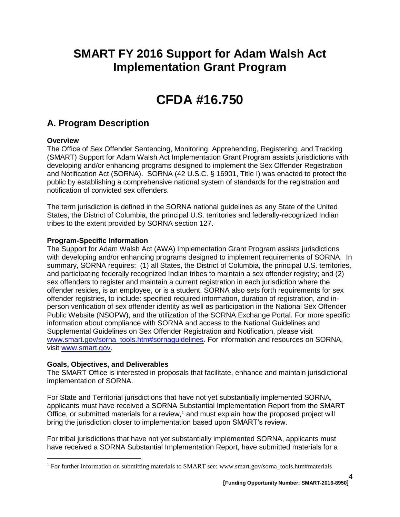# **SMART FY 2016 Support for Adam Walsh Act Implementation Grant Program**

# **CFDA #16.750**

# <span id="page-3-0"></span>**A. Program Description**

## <span id="page-3-1"></span>**Overview**

 $\overline{a}$ 

The Office of Sex Offender Sentencing, Monitoring, Apprehending, Registering, and Tracking (SMART) Support for Adam Walsh Act Implementation Grant Program assists jurisdictions with developing and/or enhancing programs designed to implement the Sex Offender Registration and Notification Act (SORNA). SORNA (42 U.S.C. § 16901, Title I) was enacted to protect the public by establishing a comprehensive national system of standards for the registration and notification of convicted sex offenders.

The term jurisdiction is defined in the SORNA national guidelines as any State of the United States, the District of Columbia, the principal U.S. territories and federally-recognized Indian tribes to the extent provided by SORNA section 127.

## <span id="page-3-2"></span>**Program-Specific Information**

The Support for Adam Walsh Act (AWA) Implementation Grant Program assists jurisdictions with developing and/or enhancing programs designed to implement requirements of SORNA. In summary, SORNA requires: (1) all States, the District of Columbia, the principal U.S. territories, and participating federally recognized Indian tribes to maintain a sex offender registry; and (2) sex offenders to register and maintain a current registration in each jurisdiction where the offender resides, is an employee, or is a student. SORNA also sets forth requirements for sex offender registries, to include: specified required information, duration of registration, and inperson verification of sex offender identity as well as participation in the National Sex Offender Public Website (NSOPW), and the utilization of the SORNA Exchange Portal. For more specific information about compliance with SORNA and access to the National Guidelines and Supplemental Guidelines on Sex Offender Registration and Notification, please visit [www.smart.gov/sorna\\_tools.htm#sornaguidelines.](http://www.smart.gov/sorna_tools.htm#sornaguidelines) For information and resources on SORNA, visit [www.smart.gov.](http://www.smart.gov/)

#### <span id="page-3-3"></span>**Goals, Objectives, and Deliverables**

The SMART Office is interested in proposals that facilitate, enhance and maintain jurisdictional implementation of SORNA.

For State and Territorial jurisdictions that have not yet substantially implemented SORNA, applicants must have received a SORNA Substantial Implementation Report from the SMART Office, or submitted materials for a review,<sup>1</sup> and must explain how the proposed project will bring the jurisdiction closer to implementation based upon SMART's review.

For tribal jurisdictions that have not yet substantially implemented SORNA, applicants must have received a SORNA Substantial Implementation Report, have submitted materials for a

4

<sup>1</sup> For further information on submitting materials to SMART see: www.smart.gov/sorna\_tools.htm#materials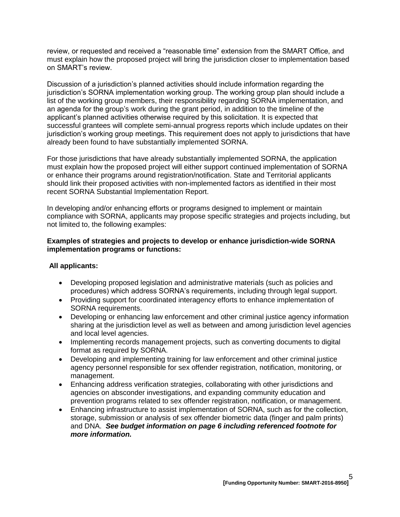review, or requested and received a "reasonable time" extension from the SMART Office, and must explain how the proposed project will bring the jurisdiction closer to implementation based on SMART's review.

Discussion of a jurisdiction's planned activities should include information regarding the jurisdiction's SORNA implementation working group. The working group plan should include a list of the working group members, their responsibility regarding SORNA implementation, and an agenda for the group's work during the grant period, in addition to the timeline of the applicant's planned activities otherwise required by this solicitation. It is expected that successful grantees will complete semi-annual progress reports which include updates on their jurisdiction's working group meetings. This requirement does not apply to jurisdictions that have already been found to have substantially implemented SORNA.

For those jurisdictions that have already substantially implemented SORNA, the application must explain how the proposed project will either support continued implementation of SORNA or enhance their programs around registration/notification. State and Territorial applicants should link their proposed activities with non-implemented factors as identified in their most recent SORNA Substantial Implementation Report.

In developing and/or enhancing efforts or programs designed to implement or maintain compliance with SORNA, applicants may propose specific strategies and projects including, but not limited to, the following examples:

#### **Examples of strategies and projects to develop or enhance jurisdiction-wide SORNA implementation programs or functions:**

#### **All applicants:**

- Developing proposed legislation and administrative materials (such as policies and procedures) which address SORNA's requirements, including through legal support.
- Providing support for coordinated interagency efforts to enhance implementation of SORNA requirements.
- Developing or enhancing law enforcement and other criminal justice agency information sharing at the jurisdiction level as well as between and among jurisdiction level agencies and local level agencies.
- Implementing records management projects, such as converting documents to digital format as required by SORNA.
- Developing and implementing training for law enforcement and other criminal justice agency personnel responsible for sex offender registration, notification, monitoring, or management.
- Enhancing address verification strategies, collaborating with other jurisdictions and agencies on absconder investigations, and expanding community education and prevention programs related to sex offender registration, notification, or management.
- Enhancing infrastructure to assist implementation of SORNA, such as for the collection, storage, submission or analysis of sex offender biometric data (finger and palm prints) and DNA. *See budget information on page 6 including referenced footnote for more information.*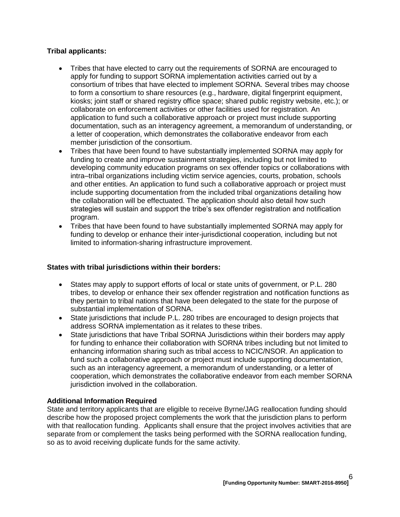## **Tribal applicants:**

- Tribes that have elected to carry out the requirements of SORNA are encouraged to apply for funding to support SORNA implementation activities carried out by a consortium of tribes that have elected to implement SORNA. Several tribes may choose to form a consortium to share resources (e.g., hardware, digital fingerprint equipment, kiosks; joint staff or shared registry office space; shared public registry website, etc.); or collaborate on enforcement activities or other facilities used for registration*.* An application to fund such a collaborative approach or project must include supporting documentation, such as an interagency agreement, a memorandum of understanding, or a letter of cooperation, which demonstrates the collaborative endeavor from each member jurisdiction of the consortium.
- Tribes that have been found to have substantially implemented SORNA may apply for funding to create and improve sustainment strategies, including but not limited to developing community education programs on sex offender topics or collaborations with intra–tribal organizations including victim service agencies, courts, probation, schools and other entities. An application to fund such a collaborative approach or project must include supporting documentation from the included tribal organizations detailing how the collaboration will be effectuated. The application should also detail how such strategies will sustain and support the tribe's sex offender registration and notification program.
- Tribes that have been found to have substantially implemented SORNA may apply for funding to develop or enhance their inter-jurisdictional cooperation, including but not limited to information-sharing infrastructure improvement.

# **States with tribal jurisdictions within their borders:**

- States may apply to support efforts of local or state units of government, or P.L. 280 tribes, to develop or enhance their sex offender registration and notification functions as they pertain to tribal nations that have been delegated to the state for the purpose of substantial implementation of SORNA.
- State jurisdictions that include P.L. 280 tribes are encouraged to design projects that address SORNA implementation as it relates to these tribes.
- State jurisdictions that have Tribal SORNA Jurisdictions within their borders may apply for funding to enhance their collaboration with SORNA tribes including but not limited to enhancing information sharing such as tribal access to NCIC/NSOR. An application to fund such a collaborative approach or project must include supporting documentation, such as an interagency agreement, a memorandum of understanding, or a letter of cooperation, which demonstrates the collaborative endeavor from each member SORNA jurisdiction involved in the collaboration.

#### **Additional Information Required**

State and territory applicants that are eligible to receive Byrne/JAG reallocation funding should describe how the proposed project complements the work that the jurisdiction plans to perform with that reallocation funding. Applicants shall ensure that the project involves activities that are separate from or complement the tasks being performed with the SORNA reallocation funding, so as to avoid receiving duplicate funds for the same activity.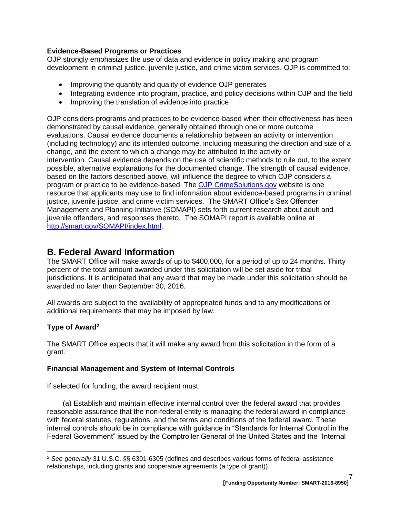## <span id="page-6-0"></span>**Evidence-Based Programs or Practices**

OJP strongly emphasizes the use of data and evidence in policy making and program development in criminal justice, juvenile justice, and crime victim services. OJP is committed to:

- Improving the quantity and quality of evidence OJP generates
- Integrating evidence into program, practice, and policy decisions within OJP and the field
- Improving the translation of evidence into practice

OJP considers programs and practices to be evidence-based when their effectiveness has been demonstrated by causal evidence, generally obtained through one or more outcome evaluations. Causal evidence documents a relationship between an activity or intervention (including technology) and its intended outcome, including measuring the direction and size of a change, and the extent to which a change may be attributed to the activity or intervention. Causal evidence depends on the use of scientific methods to rule out, to the extent possible, alternative explanations for the documented change. The strength of causal evidence, based on the factors described above, will influence the degree to which OJP considers a program or practice to be evidence-based. The [OJP CrimeSolutions.gov](http://www.crimesolutions.gov/) website is one resource that applicants may use to find information about evidence-based programs in criminal justice, juvenile justice, and crime victim services. The SMART Office's Sex Offender Management and Planning Initiative (SOMAPI) sets forth current research about adult and juvenile offenders, and responses thereto. The SOMAPI report is available online at [http://smart.gov/SOMAPI/index.html.](http://smart.gov/SOMAPI/index.html)

# <span id="page-6-1"></span>**B. Federal Award Information**

The SMART Office will make awards of up to \$400,000, for a period of up to 24 months. Thirty percent of the total amount awarded under this solicitation will be set aside for tribal jurisdictions. It is anticipated that any award that may be made under this solicitation should be awarded no later than September 30, 2016.

All awards are subject to the availability of appropriated funds and to any modifications or additional requirements that may be imposed by law.

# <span id="page-6-2"></span>**Type of Award<sup>2</sup>**

 $\overline{a}$ 

The SMART Office expects that it will make any award from this solicitation in the form of a grant.

# <span id="page-6-3"></span>**Financial Management and System of Internal Controls**

If selected for funding, the award recipient must:

(a) Establish and maintain effective internal control over the federal award that provides reasonable assurance that the non-federal entity is managing the federal award in compliance with federal statutes, regulations, and the terms and conditions of the federal award. These internal controls should be in compliance with guidance in "Standards for Internal Control in the Federal Government" issued by the Comptroller General of the United States and the "Internal

<sup>2</sup> *See generally* 31 U.S.C. §§ 6301-6305 (defines and describes various forms of federal assistance relationships, including grants and cooperative agreements (a type of grant)).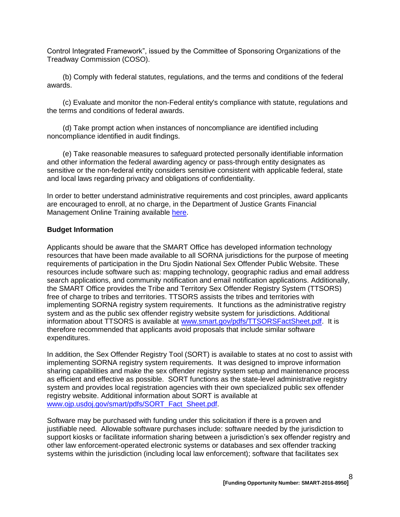Control Integrated Framework", issued by the Committee of Sponsoring Organizations of the Treadway Commission (COSO).

(b) Comply with federal statutes, regulations, and the terms and conditions of the federal awards.

(c) Evaluate and monitor the non-Federal entity's compliance with statute, regulations and the terms and conditions of federal awards.

(d) Take prompt action when instances of noncompliance are identified including noncompliance identified in audit findings.

(e) Take reasonable measures to safeguard protected personally identifiable information and other information the federal awarding agency or pass-through entity designates as sensitive or the non-federal entity considers sensitive consistent with applicable federal, state and local laws regarding privacy and obligations of confidentiality.

In order to better understand administrative requirements and cost principles, award applicants are encouraged to enroll, at no charge, in the Department of Justice Grants Financial Management Online Training available [here.](http://gfm.webfirst.com/)

#### <span id="page-7-0"></span>**Budget Information**

Applicants should be aware that the SMART Office has developed information technology resources that have been made available to all SORNA jurisdictions for the purpose of meeting requirements of participation in the Dru Sjodin National Sex Offender Public Website. These resources include software such as: mapping technology, geographic radius and email address search applications, and community notification and email notification applications. Additionally, the SMART Office provides the Tribe and Territory Sex Offender Registry System (TTSORS) free of charge to tribes and territories. TTSORS assists the tribes and territories with implementing SORNA registry system requirements. It functions as the administrative registry system and as the public sex offender registry website system for jurisdictions. Additional information about TTSORS is available at [www.smart.gov/pdfs/TTSORSFactSheet.pdf.](http://www.smart.gov/pdfs/TTSORSFactSheet.pdf) It is therefore recommended that applicants avoid proposals that include similar software expenditures.

In addition, the Sex Offender Registry Tool (SORT) is available to states at no cost to assist with implementing SORNA registry system requirements. It was designed to improve information sharing capabilities and make the sex offender registry system setup and maintenance process as efficient and effective as possible. SORT functions as the state-level administrative registry system and provides local registration agencies with their own specialized public sex offender registry website. Additional information about SORT is available at [www.ojp.usdoj.gov/smart/pdfs/SORT\\_Fact\\_Sheet.pdf.](http://ojpnet/sites/solicitations/smart2/Documents/www.ojp.usdoj.gov/smart/pdfs/SORT_Fact_Sheet.pdf)

Software may be purchased with funding under this solicitation if there is a proven and justifiable need. Allowable software purchases include: software needed by the jurisdiction to support kiosks or facilitate information sharing between a jurisdiction's sex offender registry and other law enforcement-operated electronic systems or databases and sex offender tracking systems within the jurisdiction (including local law enforcement); software that facilitates sex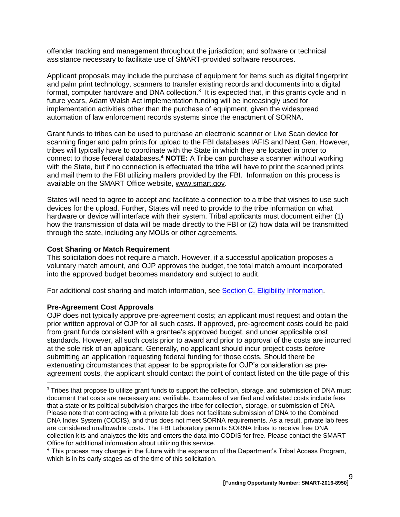offender tracking and management throughout the jurisdiction; and software or technical assistance necessary to facilitate use of SMART-provided software resources.

Applicant proposals may include the purchase of equipment for items such as digital fingerprint and palm print technology, scanners to transfer existing records and documents into a digital format, computer hardware and DNA collection.<sup>3</sup> It is expected that, in this grants cycle and in future years, Adam Walsh Act implementation funding will be increasingly used for implementation activities other than the purchase of equipment, given the widespread automation of law enforcement records systems since the enactment of SORNA.

Grant funds to tribes can be used to purchase an electronic scanner or Live Scan device for scanning finger and palm prints for upload to the FBI databases IAFIS and Next Gen. However, tribes will typically have to coordinate with the State in which they are located in order to connect to those federal databases**. <sup>4</sup> NOTE:** A Tribe can purchase a scanner without working with the State, but if no connection is effectuated the tribe will have to print the scanned prints and mail them to the FBI utilizing mailers provided by the FBI. Information on this process is available on the SMART Office website, [www.smart.gov.](http://www.smart.gov/)

States will need to agree to accept and facilitate a connection to a tribe that wishes to use such devices for the upload. Further, States will need to provide to the tribe information on what hardware or device will interface with their system. Tribal applicants must document either (1) how the transmission of data will be made directly to the FBI or (2) how data will be transmitted through the state, including any MOUs or other agreements.

#### <span id="page-8-0"></span>**Cost Sharing or Match Requirement**

This solicitation does not require a match. However, if a successful application proposes a voluntary match amount, and OJP approves the budget, the total match amount incorporated into the approved budget becomes mandatory and subject to audit.

For additional cost sharing and match information, see [Section C. Eligibility Information.](#page-10-0)

#### <span id="page-8-1"></span>**Pre-Agreement Cost Approvals**

 $\overline{a}$ 

OJP does not typically approve pre-agreement costs; an applicant must request and obtain the prior written approval of OJP for all such costs. If approved, pre-agreement costs could be paid from grant funds consistent with a grantee's approved budget, and under applicable cost standards. However, all such costs prior to award and prior to approval of the costs are incurred at the sole risk of an applicant. Generally, no applicant should incur project costs *before* submitting an application requesting federal funding for those costs. Should there be extenuating circumstances that appear to be appropriate for OJP's consideration as preagreement costs, the applicant should contact the point of contact listed on the title page of this

<sup>&</sup>lt;sup>3</sup> Tribes that propose to utilize grant funds to support the collection, storage, and submission of DNA must document that costs are necessary and verifiable. Examples of verified and validated costs include fees that a state or its political subdivision charges the tribe for collection, storage, or submission of DNA. Please note that contracting with a private lab does not facilitate submission of DNA to the Combined DNA Index System (CODIS), and thus does not meet SORNA requirements. As a result, private lab fees are considered unallowable costs. The FBI Laboratory permits SORNA tribes to receive free DNA collection kits and analyzes the kits and enters the data into CODIS for free. Please contact the SMART Office for additional information about utilizing this service.

*<sup>4</sup>* This process may change in the future with the expansion of the Department's Tribal Access Program, which is in its early stages as of the time of this solicitation.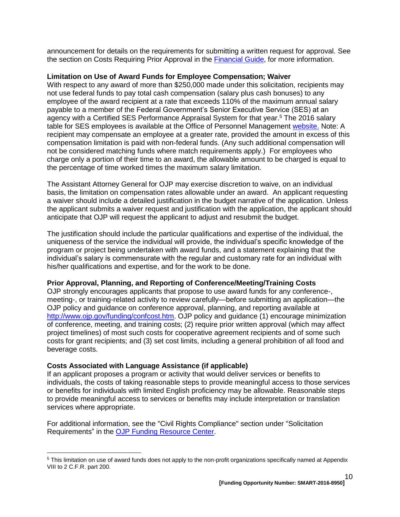announcement for details on the requirements for submitting a written request for approval. See the section on Costs Requiring Prior Approval in the [Financial Guide,](http://ojp.gov/financialguide/DOJ/index.htm) for more information.

#### <span id="page-9-0"></span>**Limitation on Use of Award Funds for Employee Compensation; Waiver**

With respect to any award of more than \$250,000 made under this solicitation, recipients may not use federal funds to pay total cash compensation (salary plus cash bonuses) to any employee of the award recipient at a rate that exceeds 110% of the maximum annual salary payable to a member of the Federal Government's Senior Executive Service (SES) at an agency with a Certified SES Performance Appraisal System for that year. <sup>5</sup> The 2016 salary table for SES employees is available at the Office of Personnel Management [website.](http://www.opm.gov/policy-data-oversight/pay-leave/salaries-wages/salary-tables/16Tables/exec/html/ES.aspx) Note: A recipient may compensate an employee at a greater rate, provided the amount in excess of this compensation limitation is paid with non-federal funds. (Any such additional compensation will not be considered matching funds where match requirements apply.) For employees who charge only a portion of their time to an award, the allowable amount to be charged is equal to the percentage of time worked times the maximum salary limitation.

The Assistant Attorney General for OJP may exercise discretion to waive, on an individual basis, the limitation on compensation rates allowable under an award. An applicant requesting a waiver should include a detailed justification in the budget narrative of the application. Unless the applicant submits a waiver request and justification with the application, the applicant should anticipate that OJP will request the applicant to adjust and resubmit the budget.

The justification should include the particular qualifications and expertise of the individual, the uniqueness of the service the individual will provide, the individual's specific knowledge of the program or project being undertaken with award funds, and a statement explaining that the individual's salary is commensurate with the regular and customary rate for an individual with his/her qualifications and expertise, and for the work to be done.

#### <span id="page-9-1"></span>**Prior Approval, Planning, and Reporting of Conference/Meeting/Training Costs**

OJP strongly encourages applicants that propose to use award funds for any conference-, meeting-, or training-related activity to review carefully—before submitting an application—the OJP policy and guidance on conference approval, planning, and reporting available at [http://www.ojp.gov/funding/confcost.htm.](http://www.ojp.gov/funding/confcost.htm) OJP policy and guidance (1) encourage minimization of conference, meeting, and training costs; (2) require prior written approval (which may affect project timelines) of most such costs for cooperative agreement recipients and of some such costs for grant recipients; and (3) set cost limits, including a general prohibition of all food and beverage costs.

#### <span id="page-9-2"></span>**Costs Associated with Language Assistance (if applicable)**

 $\overline{a}$ 

If an applicant proposes a program or activity that would deliver services or benefits to individuals, the costs of taking reasonable steps to provide meaningful access to those services or benefits for individuals with limited English proficiency may be allowable. Reasonable steps to provide meaningful access to services or benefits may include interpretation or translation services where appropriate.

For additional information, see the "Civil Rights Compliance" section under "Solicitation Requirements" in the [OJP Funding Resource Center.](http://ojp.gov/funding/index.htm)

<sup>5</sup> This limitation on use of award funds does not apply to the non-profit organizations specifically named at Appendix VIII to 2 C.F.R. part 200.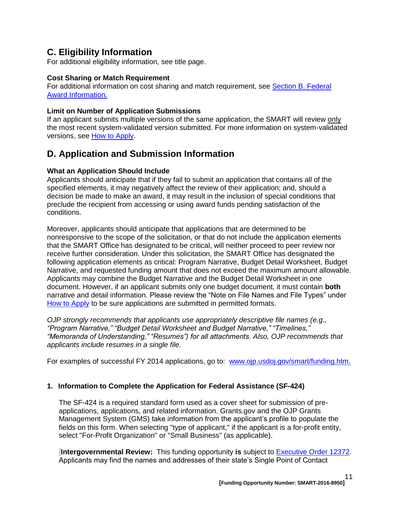# <span id="page-10-0"></span>**C. Eligibility Information**

For additional eligibility information, see title page.

#### <span id="page-10-2"></span>**Cost Sharing or Match Requirement**

For additional information on cost sharing and match requirement, see Section [B. Federal](#page-6-1)  [Award Information.](#page-6-1)

#### <span id="page-10-3"></span>**Limit on Number of Application Submissions**

If an applicant submits multiple versions of the same application, the SMART will review only the most recent system-validated version submitted. For more information on system-validated versions, see [How to Apply.](#page-20-0)

# <span id="page-10-1"></span>**D. Application and Submission Information**

#### <span id="page-10-4"></span>**What an Application Should Include**

Applicants should anticipate that if they fail to submit an application that contains all of the specified elements, it may negatively affect the review of their application; and, should a decision be made to make an award, it may result in the inclusion of special conditions that preclude the recipient from accessing or using award funds pending satisfaction of the conditions.

Moreover, applicants should anticipate that applications that are determined to be nonresponsive to the scope of the solicitation, or that do not include the application elements that the SMART Office has designated to be critical, will neither proceed to peer review nor receive further consideration. Under this solicitation, the SMART Office has designated the following application elements as critical: Program Narrative, Budget Detail Worksheet, Budget Narrative, and requested funding amount that does not exceed the maximum amount allowable*.*  Applicants may combine the Budget Narrative and the Budget Detail Worksheet in one document. However, if an applicant submits only one budget document, it must contain **both** narrative and detail information. Please review the "Note on File Names and File Types" under [How to Apply](#page-20-0) to be sure applications are submitted in permitted formats.

*OJP strongly recommends that applicants use appropriately descriptive file names (e.g*.*, "Program Narrative," "Budget Detail Worksheet and Budget Narrative," "Timelines," "Memoranda of Understanding," "Resumes") for all attachments. Also, OJP recommends that applicants include resumes in a single file.*

For examples of successful FY 2014 applications, go to: [www.ojp.usdoj.gov/smart/funding.htm.](http://www.ojp.usdoj.gov/smart/funding.htm)

#### **1. Information to Complete the Application for Federal Assistance (SF-424)**

The SF-424 is a required standard form used as a cover sheet for submission of preapplications, applications, and related information. Grants.gov and the OJP Grants Management System (GMS) take information from the applicant's profile to populate the fields on this form. When selecting "type of applicant," if the applicant is a for-profit entity, select "For-Profit Organization" or "Small Business" (as applicable).

**Intergovernmental Review:** This funding opportunity is subject to **Executive Order 12372**. Applicants may find the names and addresses of their state's Single Point of Contact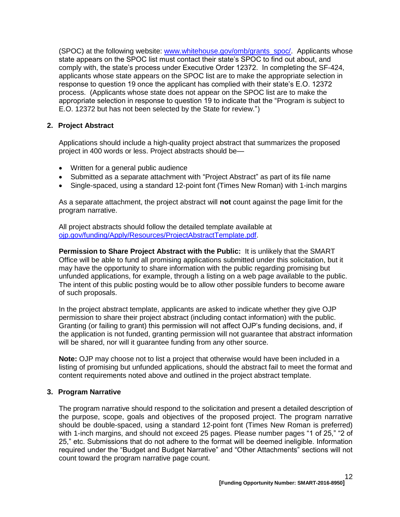(SPOC) at the following website: [www.whitehouse.gov/omb/grants\\_spoc/.](http://www.whitehouse.gov/omb/grants_spoc/) Applicants whose state appears on the SPOC list must contact their state's SPOC to find out about, and comply with, the state's process under Executive Order 12372. In completing the SF-424, applicants whose state appears on the SPOC list are to make the appropriate selection in response to question 19 once the applicant has complied with their state's E.O. 12372 process. (Applicants whose state does not appear on the SPOC list are to make the appropriate selection in response to question 19 to indicate that the "Program is subject to E.O. 12372 but has not been selected by the State for review.")

## **2. Project Abstract**

Applications should include a high-quality project abstract that summarizes the proposed project in 400 words or less. Project abstracts should be—

- Written for a general public audience
- Submitted as a separate attachment with "Project Abstract" as part of its file name
- Single-spaced, using a standard 12-point font (Times New Roman) with 1-inch margins

As a separate attachment, the project abstract will **not** count against the page limit for the program narrative.

All project abstracts should follow the detailed template available at [ojp.gov/funding/Apply/Resources/ProjectAbstractTemplate.pdf.](http://ojp.gov/funding/Apply/Resources/ProjectAbstractTemplate.pdf)

**Permission to Share Project Abstract with the Public:** It is unlikely that the SMART Office will be able to fund all promising applications submitted under this solicitation, but it may have the opportunity to share information with the public regarding promising but unfunded applications, for example, through a listing on a web page available to the public. The intent of this public posting would be to allow other possible funders to become aware of such proposals.

In the project abstract template, applicants are asked to indicate whether they give OJP permission to share their project abstract (including contact information) with the public. Granting (or failing to grant) this permission will not affect OJP's funding decisions, and, if the application is not funded, granting permission will not guarantee that abstract information will be shared, nor will it guarantee funding from any other source.

**Note:** OJP may choose not to list a project that otherwise would have been included in a listing of promising but unfunded applications, should the abstract fail to meet the format and content requirements noted above and outlined in the project abstract template.

#### **3. Program Narrative**

The program narrative should respond to the solicitation and present a detailed description of the purpose, scope, goals and objectives of the proposed project. The program narrative should be double-spaced, using a standard 12-point font (Times New Roman is preferred) with 1-inch margins, and should not exceed 25 pages. Please number pages "1 of 25," "2 of 25," etc. Submissions that do not adhere to the format will be deemed ineligible. Information required under the "Budget and Budget Narrative" and "Other Attachments" sections will not count toward the program narrative page count.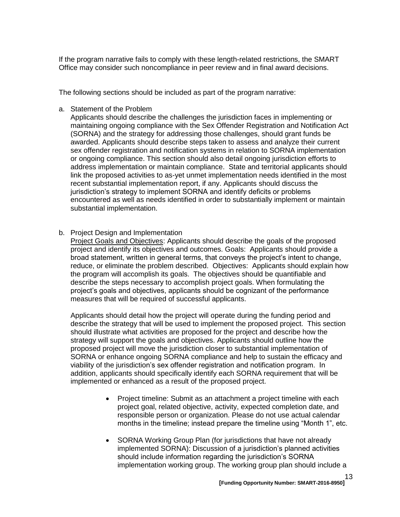If the program narrative fails to comply with these length-related restrictions, the SMART Office may consider such noncompliance in peer review and in final award decisions.

The following sections should be included as part of the program narrative:

a. Statement of the Problem

Applicants should describe the challenges the jurisdiction faces in implementing or maintaining ongoing compliance with the Sex Offender Registration and Notification Act (SORNA) and the strategy for addressing those challenges, should grant funds be awarded. Applicants should describe steps taken to assess and analyze their current sex offender registration and notification systems in relation to SORNA implementation or ongoing compliance. This section should also detail ongoing jurisdiction efforts to address implementation or maintain compliance. State and territorial applicants should link the proposed activities to as-yet unmet implementation needs identified in the most recent substantial implementation report, if any. Applicants should discuss the jurisdiction's strategy to implement SORNA and identify deficits or problems encountered as well as needs identified in order to substantially implement or maintain substantial implementation.

b. Project Design and Implementation

Project Goals and Objectives: Applicants should describe the goals of the proposed project and identify its objectives and outcomes. Goals: Applicants should provide a broad statement, written in general terms, that conveys the project's intent to change, reduce, or eliminate the problem described. Objectives: Applicants should explain how the program will accomplish its goals. The objectives should be quantifiable and describe the steps necessary to accomplish project goals. When formulating the project's goals and objectives, applicants should be cognizant of the performance measures that will be required of successful applicants.

Applicants should detail how the project will operate during the funding period and describe the strategy that will be used to implement the proposed project. This section should illustrate what activities are proposed for the project and describe how the strategy will support the goals and objectives. Applicants should outline how the proposed project will move the jurisdiction closer to substantial implementation of SORNA or enhance ongoing SORNA compliance and help to sustain the efficacy and viability of the jurisdiction's sex offender registration and notification program. In addition, applicants should specifically identify each SORNA requirement that will be implemented or enhanced as a result of the proposed project.

- Project timeline: Submit as an attachment a project timeline with each project goal, related objective, activity, expected completion date, and responsible person or organization. Please do not use actual calendar months in the timeline; instead prepare the timeline using "Month 1", etc.
- SORNA Working Group Plan (for jurisdictions that have not already implemented SORNA): Discussion of a jurisdiction's planned activities should include information regarding the jurisdiction's SORNA implementation working group. The working group plan should include a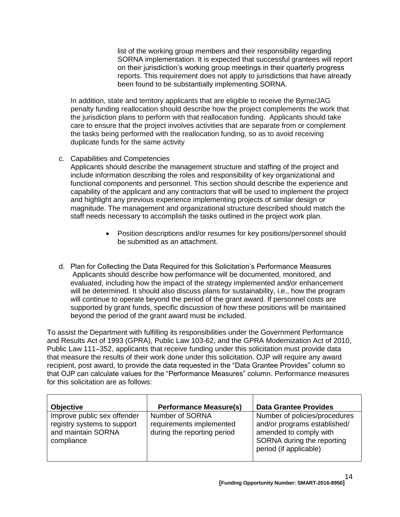list of the working group members and their responsibility regarding SORNA implementation. It is expected that successful grantees will report on their jurisdiction's working group meetings in their quarterly progress reports. This requirement does not apply to jurisdictions that have already been found to be substantially implementing SORNA.

In addition, state and territory applicants that are eligible to receive the Byrne/JAG penalty funding reallocation should describe how the project complements the work that the jurisdiction plans to perform with that reallocation funding. Applicants should take care to ensure that the project involves activities that are separate from or complement the tasks being performed with the reallocation funding, so as to avoid receiving duplicate funds for the same activity

c. Capabilities and Competencies

Applicants should describe the management structure and staffing of the project and include information describing the roles and responsibility of key organizational and functional components and personnel. This section should describe the experience and capability of the applicant and any contractors that will be used to implement the project and highlight any previous experience implementing projects of similar design or magnitude. The management and organizational structure described should match the staff needs necessary to accomplish the tasks outlined in the project work plan.

- Position descriptions and/or resumes for key positions/personnel should be submitted as an attachment.
- d. Plan for Collecting the Data Required for this Solicitation's Performance Measures Applicants should describe how performance will be documented, monitored, and evaluated, including how the impact of the strategy implemented and/or enhancement will be determined. It should also discuss plans for sustainability, i.e., how the program will continue to operate beyond the period of the grant award. If personnel costs are supported by grant funds, specific discussion of how these positions will be maintained beyond the period of the grant award must be included.

To assist the Department with fulfilling its responsibilities under the Government Performance and Results Act of 1993 (GPRA), Public Law 103-62, and the GPRA Modernization Act of 2010, Public Law 111–352, applicants that receive funding under this solicitation must provide data that measure the results of their work done under this solicitation. OJP will require any award recipient, post award, to provide the data requested in the "Data Grantee Provides" column so that OJP can calculate values for the "Performance Measures" column. Performance measures for this solicitation are as follows:

| <b>Objective</b>                                                                               | <b>Performance Measure(s)</b>                                              | <b>Data Grantee Provides</b>                                                                                                                    |
|------------------------------------------------------------------------------------------------|----------------------------------------------------------------------------|-------------------------------------------------------------------------------------------------------------------------------------------------|
| Improve public sex offender<br>registry systems to support<br>and maintain SORNA<br>compliance | Number of SORNA<br>requirements implemented<br>during the reporting period | Number of policies/procedures<br>and/or programs established/<br>amended to comply with<br>SORNA during the reporting<br>period (if applicable) |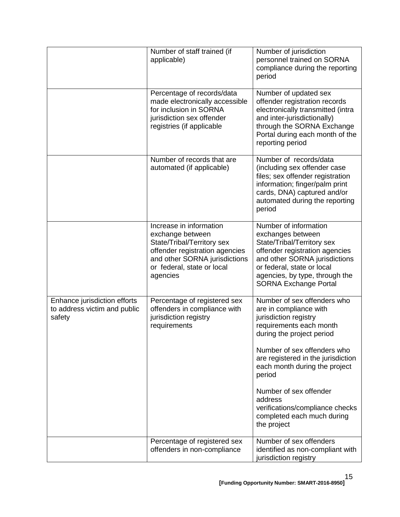|                                                                        | Number of staff trained (if<br>applicable)                                                                                                                                             | Number of jurisdiction<br>personnel trained on SORNA<br>compliance during the reporting<br>period                                                                                                                                           |
|------------------------------------------------------------------------|----------------------------------------------------------------------------------------------------------------------------------------------------------------------------------------|---------------------------------------------------------------------------------------------------------------------------------------------------------------------------------------------------------------------------------------------|
|                                                                        | Percentage of records/data<br>made electronically accessible<br>for inclusion in SORNA<br>jurisdiction sex offender<br>registries (if applicable                                       | Number of updated sex<br>offender registration records<br>electronically transmitted (intra<br>and inter-jurisdictionally)<br>through the SORNA Exchange<br>Portal during each month of the<br>reporting period                             |
|                                                                        | Number of records that are<br>automated (if applicable)                                                                                                                                | Number of records/data<br>(including sex offender case<br>files; sex offender registration<br>information; finger/palm print<br>cards, DNA) captured and/or<br>automated during the reporting<br>period                                     |
|                                                                        | Increase in information<br>exchange between<br>State/Tribal/Territory sex<br>offender registration agencies<br>and other SORNA jurisdictions<br>or federal, state or local<br>agencies | Number of information<br>exchanges between<br>State/Tribal/Territory sex<br>offender registration agencies<br>and other SORNA jurisdictions<br>or federal, state or local<br>agencies, by type, through the<br><b>SORNA Exchange Portal</b> |
| Enhance jurisdiction efforts<br>to address victim and public<br>safety | Percentage of registered sex<br>offenders in compliance with<br>jurisdiction registry<br>requirements                                                                                  | Number of sex offenders who<br>are in compliance with<br>jurisdiction registry<br>requirements each month<br>during the project period                                                                                                      |
|                                                                        |                                                                                                                                                                                        | Number of sex offenders who<br>are registered in the jurisdiction<br>each month during the project<br>period                                                                                                                                |
|                                                                        |                                                                                                                                                                                        | Number of sex offender<br>address<br>verifications/compliance checks<br>completed each much during<br>the project                                                                                                                           |
|                                                                        | Percentage of registered sex<br>offenders in non-compliance                                                                                                                            | Number of sex offenders<br>identified as non-compliant with<br>jurisdiction registry                                                                                                                                                        |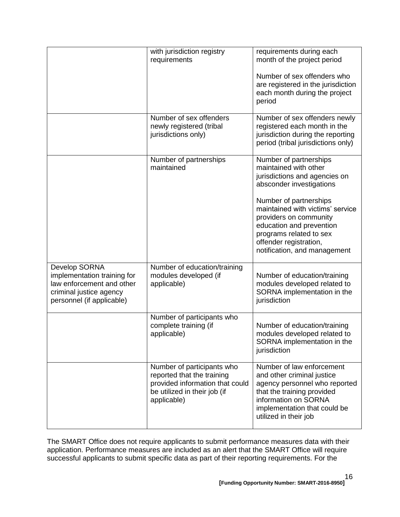|                                                                                                                                   | with jurisdiction registry<br>requirements                                                                                                 | requirements during each<br>month of the project period<br>Number of sex offenders who<br>are registered in the jurisdiction<br>each month during the project<br>period                                                                                                                                               |
|-----------------------------------------------------------------------------------------------------------------------------------|--------------------------------------------------------------------------------------------------------------------------------------------|-----------------------------------------------------------------------------------------------------------------------------------------------------------------------------------------------------------------------------------------------------------------------------------------------------------------------|
|                                                                                                                                   | Number of sex offenders<br>newly registered (tribal<br>jurisdictions only)                                                                 | Number of sex offenders newly<br>registered each month in the<br>jurisdiction during the reporting<br>period (tribal jurisdictions only)                                                                                                                                                                              |
|                                                                                                                                   | Number of partnerships<br>maintained                                                                                                       | Number of partnerships<br>maintained with other<br>jurisdictions and agencies on<br>absconder investigations<br>Number of partnerships<br>maintained with victims' service<br>providers on community<br>education and prevention<br>programs related to sex<br>offender registration,<br>notification, and management |
| Develop SORNA<br>implementation training for<br>law enforcement and other<br>criminal justice agency<br>personnel (if applicable) | Number of education/training<br>modules developed (if<br>applicable)                                                                       | Number of education/training<br>modules developed related to<br>SORNA implementation in the<br>jurisdiction                                                                                                                                                                                                           |
|                                                                                                                                   | Number of participants who<br>complete training (if<br>applicable)                                                                         | Number of education/training<br>modules developed related to<br>SORNA implementation in the<br>jurisdiction                                                                                                                                                                                                           |
|                                                                                                                                   | Number of participants who<br>reported that the training<br>provided information that could<br>be utilized in their job (if<br>applicable) | Number of law enforcement<br>and other criminal justice<br>agency personnel who reported<br>that the training provided<br>information on SORNA<br>implementation that could be<br>utilized in their job                                                                                                               |

The SMART Office does not require applicants to submit performance measures data with their application. Performance measures are included as an alert that the SMART Office will require successful applicants to submit specific data as part of their reporting requirements. For the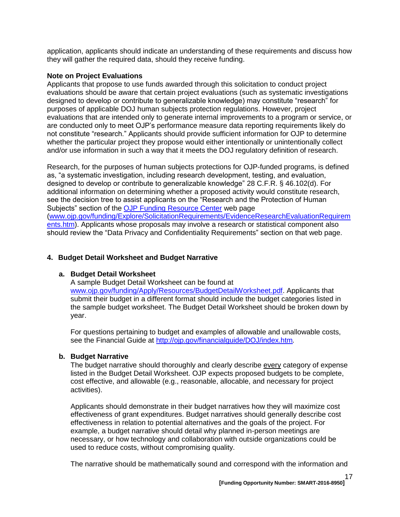application, applicants should indicate an understanding of these requirements and discuss how they will gather the required data, should they receive funding.

#### **Note on Project Evaluations**

Applicants that propose to use funds awarded through this solicitation to conduct project evaluations should be aware that certain project evaluations (such as systematic investigations designed to develop or contribute to generalizable knowledge) may constitute "research" for purposes of applicable DOJ human subjects protection regulations. However, project evaluations that are intended only to generate internal improvements to a program or service, or are conducted only to meet OJP's performance measure data reporting requirements likely do not constitute "research." Applicants should provide sufficient information for OJP to determine whether the particular project they propose would either intentionally or unintentionally collect and/or use information in such a way that it meets the DOJ regulatory definition of research.

Research, for the purposes of human subjects protections for OJP-funded programs, is defined as, "a systematic investigation, including research development, testing, and evaluation, designed to develop or contribute to generalizable knowledge" 28 C.F.R. § 46.102(d). For additional information on determining whether a proposed activity would constitute research, see the decision tree to assist applicants on the "Research and the Protection of Human Subjects" section of the [OJP Funding Resource Center](http://ojp.gov/funding/index.htm) web page [\(www.ojp.gov/funding/Explore/SolicitationRequirements/EvidenceResearchEvaluationRequirem](http://ojp.gov/funding/Explore/SolicitationRequirements/EvidenceResearchEvaluationRequirements.htm) [ents.htm\)](http://ojp.gov/funding/Explore/SolicitationRequirements/EvidenceResearchEvaluationRequirements.htm). Applicants whose proposals may involve a research or statistical component also should review the "Data Privacy and Confidentiality Requirements" section on that web page.

#### **4. Budget Detail Worksheet and Budget Narrative**

#### **a. Budget Detail Worksheet**

A sample Budget Detail Worksheet can be found at [www.ojp.gov/funding/Apply/Resources/BudgetDetailWorksheet.pdf.](http://ojp.gov/funding/Apply/Resources/BudgetDetailWorksheet.pdf) Applicants that submit their budget in a different format should include the budget categories listed in the sample budget worksheet. The Budget Detail Worksheet should be broken down by year.

For questions pertaining to budget and examples of allowable and unallowable costs, see the Financial Guide at<http://ojp.gov/financialguide/DOJ/index.htm>*.*

#### **b. Budget Narrative**

The budget narrative should thoroughly and clearly describe every category of expense listed in the Budget Detail Worksheet. OJP expects proposed budgets to be complete, cost effective, and allowable (e.g., reasonable, allocable, and necessary for project activities).

Applicants should demonstrate in their budget narratives how they will maximize cost effectiveness of grant expenditures. Budget narratives should generally describe cost effectiveness in relation to potential alternatives and the goals of the project. For example, a budget narrative should detail why planned in-person meetings are necessary, or how technology and collaboration with outside organizations could be used to reduce costs, without compromising quality.

The narrative should be mathematically sound and correspond with the information and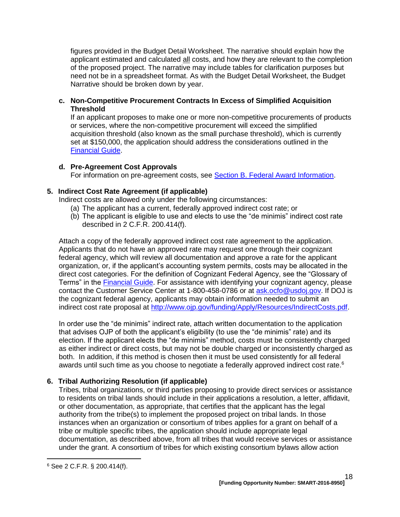figures provided in the Budget Detail Worksheet. The narrative should explain how the applicant estimated and calculated all costs, and how they are relevant to the completion of the proposed project. The narrative may include tables for clarification purposes but need not be in a spreadsheet format. As with the Budget Detail Worksheet, the Budget Narrative should be broken down by year.

#### **c. Non-Competitive Procurement Contracts In Excess of Simplified Acquisition Threshold**

If an applicant proposes to make one or more non-competitive procurements of products or services, where the non-competitive procurement will exceed the simplified acquisition threshold (also known as the small purchase threshold), which is currently set at \$150,000, the application should address the considerations outlined in the [Financial Guide.](http://ojp.gov/financialguide/DOJ/index.htm)

## **d. Pre-Agreement Cost Approvals**

For information on pre-agreement costs, see [Section B. Federal Award Information.](#page-6-1)

# **5. Indirect Cost Rate Agreement (if applicable)**

Indirect costs are allowed only under the following circumstances:

- (a) The applicant has a current, federally approved indirect cost rate; or
- (b) The applicant is eligible to use and elects to use the "de minimis" indirect cost rate described in 2 C.F.R. 200.414(f).

Attach a copy of the federally approved indirect cost rate agreement to the application. Applicants that do not have an approved rate may request one through their cognizant federal agency, which will review all documentation and approve a rate for the applicant organization, or, if the applicant's accounting system permits, costs may be allocated in the direct cost categories. For the definition of Cognizant Federal Agency, see the "Glossary of Terms" in the [Financial Guide.](http://ojp.gov/financialguide/DOJ/index.htm) For assistance with identifying your cognizant agency, please contact the Customer Service Center at 1-800-458-0786 or at [ask.ocfo@usdoj.gov.](mailto:ask.ocfo@usdoj.gov) If DOJ is the cognizant federal agency, applicants may obtain information needed to submit an indirect cost rate proposal at [http://www.ojp.gov/funding/Apply/Resources/IndirectCosts.pdf.](http://www.ojp.gov/funding/Apply/Resources/IndirectCosts.pdf)

In order use the "de minimis" indirect rate, attach written documentation to the application that advises OJP of both the applicant's eligibility (to use the "de minimis" rate) and its election. If the applicant elects the "de minimis" method, costs must be consistently charged as either indirect or direct costs, but may not be double charged or inconsistently charged as both. In addition, if this method is chosen then it must be used consistently for all federal awards until such time as you choose to negotiate a federally approved indirect cost rate.<sup>6</sup>

# **6. Tribal Authorizing Resolution (if applicable)**

Tribes, tribal organizations, or third parties proposing to provide direct services or assistance to residents on tribal lands should include in their applications a resolution, a letter, affidavit, or other documentation, as appropriate, that certifies that the applicant has the legal authority from the tribe(s) to implement the proposed project on tribal lands. In those instances when an organization or consortium of tribes applies for a grant on behalf of a tribe or multiple specific tribes, the application should include appropriate legal documentation, as described above, from all tribes that would receive services or assistance under the grant. A consortium of tribes for which existing consortium bylaws allow action

 $\overline{a}$ 

<sup>6</sup> See 2 C.F.R. § 200.414(f).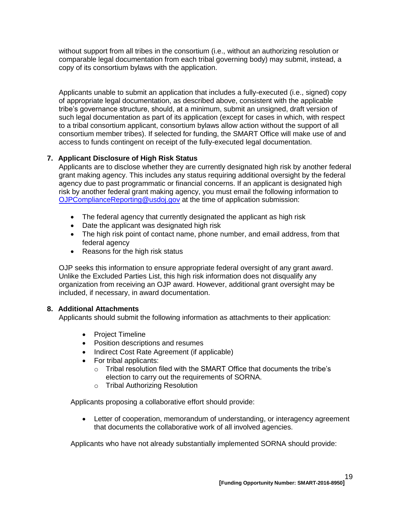without support from all tribes in the consortium (i.e., without an authorizing resolution or comparable legal documentation from each tribal governing body) may submit, instead, a copy of its consortium bylaws with the application.

Applicants unable to submit an application that includes a fully-executed (i.e., signed) copy of appropriate legal documentation, as described above, consistent with the applicable tribe's governance structure, should, at a minimum, submit an unsigned, draft version of such legal documentation as part of its application (except for cases in which, with respect to a tribal consortium applicant, consortium bylaws allow action without the support of all consortium member tribes). If selected for funding, the SMART Office will make use of and access to funds contingent on receipt of the fully-executed legal documentation.

# **7. Applicant Disclosure of High Risk Status**

Applicants are to disclose whether they are currently designated high risk by another federal grant making agency. This includes any status requiring additional oversight by the federal agency due to past programmatic or financial concerns. If an applicant is designated high risk by another federal grant making agency, you must email the following information to [OJPComplianceReporting@usdoj.gov](mailto:OJPComplianceReporting@usdoj.gov) at the time of application submission:

- The federal agency that currently designated the applicant as high risk
- Date the applicant was designated high risk
- The high risk point of contact name, phone number, and email address, from that federal agency
- Reasons for the high risk status

OJP seeks this information to ensure appropriate federal oversight of any grant award. Unlike the Excluded Parties List, this high risk information does not disqualify any organization from receiving an OJP award. However, additional grant oversight may be included, if necessary, in award documentation.

# **8. Additional Attachments**

Applicants should submit the following information as attachments to their application:

- Project Timeline
- Position descriptions and resumes
- Indirect Cost Rate Agreement (if applicable)
- For tribal applicants:
	- o Tribal resolution filed with the SMART Office that documents the tribe's election to carry out the requirements of SORNA.
	- o Tribal Authorizing Resolution

Applicants proposing a collaborative effort should provide:

 Letter of cooperation, memorandum of understanding, or interagency agreement that documents the collaborative work of all involved agencies.

Applicants who have not already substantially implemented SORNA should provide: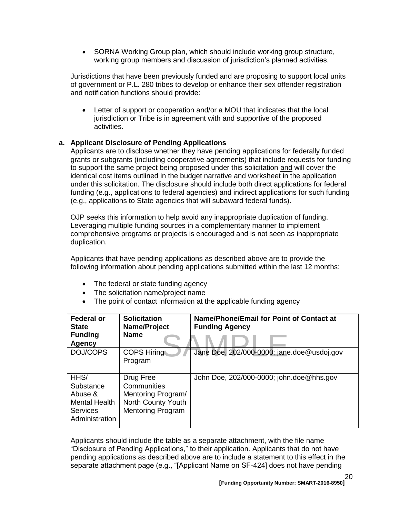• SORNA Working Group plan, which should include working group structure, working group members and discussion of jurisdiction's planned activities.

Jurisdictions that have been previously funded and are proposing to support local units of government or P.L. 280 tribes to develop or enhance their sex offender registration and notification functions should provide:

 Letter of support or cooperation and/or a MOU that indicates that the local jurisdiction or Tribe is in agreement with and supportive of the proposed activities.

## **a. Applicant Disclosure of Pending Applications**

Applicants are to disclose whether they have pending applications for federally funded grants or subgrants (including cooperative agreements) that include requests for funding to support the same project being proposed under this solicitation and will cover the identical cost items outlined in the budget narrative and worksheet in the application under this solicitation. The disclosure should include both direct applications for federal funding (e.g., applications to federal agencies) and indirect applications for such funding (e.g., applications to State agencies that will subaward federal funds).

OJP seeks this information to help avoid any inappropriate duplication of funding. Leveraging multiple funding sources in a complementary manner to implement comprehensive programs or projects is encouraged and is not seen as inappropriate duplication.

Applicants that have pending applications as described above are to provide the following information about pending applications submitted within the last 12 months:

- The federal or state funding agency
- The solicitation name/project name
- The point of contact information at the applicable funding agency

| <b>Federal or</b><br><b>State</b><br><b>Funding</b><br><b>Agency</b>                      | <b>Solicitation</b><br>Name/Project<br><b>Name</b>                                               | Name/Phone/Email for Point of Contact at<br><b>Funding Agency</b> |
|-------------------------------------------------------------------------------------------|--------------------------------------------------------------------------------------------------|-------------------------------------------------------------------|
| DOJ/COPS                                                                                  | <b>COPS Hiring</b><br>Program                                                                    | Jane Doe, 202/000-0000; jane.doe@usdoj.gov                        |
| HHS/<br>Substance<br>Abuse &<br><b>Mental Health</b><br><b>Services</b><br>Administration | Drug Free<br>Communities<br>Mentoring Program/<br>North County Youth<br><b>Mentoring Program</b> | John Doe, 202/000-0000; john.doe@hhs.gov                          |

Applicants should include the table as a separate attachment, with the file name "Disclosure of Pending Applications," to their application. Applicants that do not have pending applications as described above are to include a statement to this effect in the separate attachment page (e.g., "[Applicant Name on SF-424] does not have pending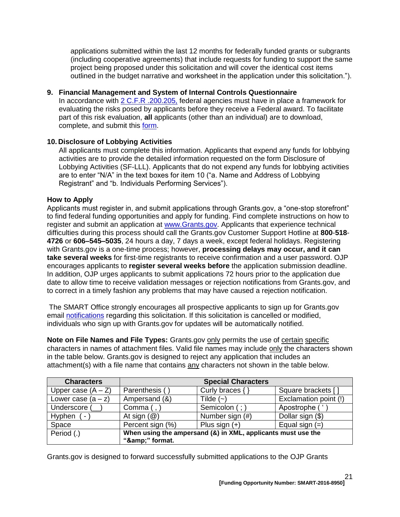applications submitted within the last 12 months for federally funded grants or subgrants (including cooperative agreements) that include requests for funding to support the same project being proposed under this solicitation and will cover the identical cost items outlined in the budget narrative and worksheet in the application under this solicitation.").

## **9. Financial Management and System of Internal Controls Questionnaire**

In accordance with [2 C.F.R .200.205,](http://www.ecfr.gov/cgi-bin/text-idx?SID=2ebfb13012953333f32ed4cf1411e33e&node=pt2.1.200&rgn=div5#se2.1.200_1205) federal agencies must have in place a framework for evaluating the risks posed by applicants before they receive a Federal award. To facilitate part of this risk evaluation, **all** applicants (other than an individual) are to download, complete, and submit this [form.](http://ojp.gov/funding/Apply/Resources/FinancialCapability.pdf)

## **10. Disclosure of Lobbying Activities**

All applicants must complete this information. Applicants that expend any funds for lobbying activities are to provide the detailed information requested on the form Disclosure of Lobbying Activities (SF-LLL). Applicants that do not expend any funds for lobbying activities are to enter "N/A" in the text boxes for item 10 ("a. Name and Address of Lobbying Registrant" and "b. Individuals Performing Services").

## <span id="page-20-0"></span>**How to Apply**

Applicants must register in, and submit applications through Grants.gov, a "one-stop storefront" to find federal funding opportunities and apply for funding. Find complete instructions on how to register and submit an application at [www.Grants.gov.](http://www.grants.gov/) Applicants that experience technical difficulties during this process should call the Grants.gov Customer Support Hotline at **800**-**518**- **4726** or **606–545–5035**, 24 hours a day, 7 days a week, except federal holidays. Registering with Grants.gov is a one-time process; however, **processing delays may occur, and it can take several weeks** for first-time registrants to receive confirmation and a user password. OJP encourages applicants to **register several weeks before** the application submission deadline. In addition, OJP urges applicants to submit applications 72 hours prior to the application due date to allow time to receive validation messages or rejection notifications from Grants.gov, and to correct in a timely fashion any problems that may have caused a rejection notification.

The SMART Office strongly encourages all prospective applicants to sign up for Grants.gov email [notifications](http://www.grants.gov/web/grants/manage-subscriptions.html) regarding this solicitation. If this solicitation is cancelled or modified, individuals who sign up with Grants.gov for updates will be automatically notified.

**Note on File Names and File Types:** Grants.gov only permits the use of certain specific characters in names of attachment files. Valid file names may include only the characters shown in the table below. Grants.gov is designed to reject any application that includes an attachment(s) with a file name that contains any characters not shown in the table below.

| <b>Characters</b>                  |                                                                             | <b>Special Characters</b> |                       |
|------------------------------------|-----------------------------------------------------------------------------|---------------------------|-----------------------|
| Upper case $(A - Z)$               | Parenthesis (                                                               | Curly braces {            | Square brackets []    |
| Lower case $(a - z)$               | Ampersand (&)                                                               | Tilde $(\sim)$            | Exclamation point (!) |
| Underscore (                       | Comma $($ , $)$                                                             | Semicolon (; )            | Apostrophe ('         |
| Hyphen<br>$\overline{\phantom{0}}$ | At sign $(\mathcal{Q})$                                                     | Number sign (#)           | Dollar sign (\$)      |
| Space                              | Percent sign (%)                                                            | Plus sign $(+)$           | Equal sign $(=)$      |
| Period (.)                         | When using the ampersand (&) in XML, applicants must use the<br>"&" format. |                           |                       |

Grants.gov is designed to forward successfully submitted applications to the OJP Grants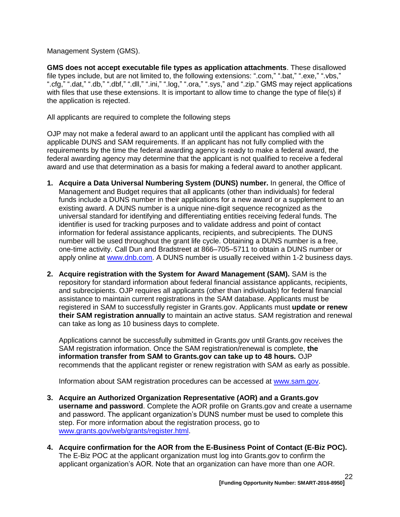Management System (GMS).

**GMS does not accept executable file types as application attachments**. These disallowed file types include, but are not limited to, the following extensions: ".com," ".bat," ".exe," ".vbs," ".cfg," ".dat," ".db," ".dbf," ".dll," ".ini," ".log," ".ora," ".sys," and ".zip." GMS may reject applications with files that use these extensions. It is important to allow time to change the type of file(s) if the application is rejected.

All applicants are required to complete the following steps

OJP may not make a federal award to an applicant until the applicant has complied with all applicable DUNS and SAM requirements. If an applicant has not fully complied with the requirements by the time the federal awarding agency is ready to make a federal award, the federal awarding agency may determine that the applicant is not qualified to receive a federal award and use that determination as a basis for making a federal award to another applicant.

- **1. Acquire a Data Universal Numbering System (DUNS) number.** In general, the Office of Management and Budget requires that all applicants (other than individuals) for federal funds include a DUNS number in their applications for a new award or a supplement to an existing award. A DUNS number is a unique nine-digit sequence recognized as the universal standard for identifying and differentiating entities receiving federal funds. The identifier is used for tracking purposes and to validate address and point of contact information for federal assistance applicants, recipients, and subrecipients. The DUNS number will be used throughout the grant life cycle. Obtaining a DUNS number is a free, one-time activity. Call Dun and Bradstreet at 866–705–5711 to obtain a DUNS number or apply online at [www.dnb.com.](http://www.dnb.com/) A DUNS number is usually received within 1-2 business days.
- **2. Acquire registration with the System for Award Management (SAM).** SAM is the repository for standard information about federal financial assistance applicants, recipients, and subrecipients. OJP requires all applicants (other than individuals) for federal financial assistance to maintain current registrations in the SAM database. Applicants must be registered in SAM to successfully register in Grants.gov. Applicants must **update or renew their SAM registration annually** to maintain an active status. SAM registration and renewal can take as long as 10 business days to complete.

Applications cannot be successfully submitted in Grants.gov until Grants.gov receives the SAM registration information. Once the SAM registration/renewal is complete, **the information transfer from SAM to Grants.gov can take up to 48 hours.** OJP recommends that the applicant register or renew registration with SAM as early as possible.

Information about SAM registration procedures can be accessed at [www.sam.gov.](https://www.sam.gov/portal/public/SAM/?portal:componentId=1f834b82-3fed-4eb3-a1f8-ea1f226a7955&portal:type=action&interactionstate=JBPNS_rO0ABXc0ABBfanNmQnJpZGdlVmlld0lkAAAAAQATL2pzZi9uYXZpZ2F0aW9uLmpzcAAHX19FT0ZfXw**)

- **3. Acquire an Authorized Organization Representative (AOR) and a Grants.gov username and password**. Complete the AOR profile on Grants.gov and create a username and password. The applicant organization's DUNS number must be used to complete this step. For more information about the registration process, go to [www.grants.gov/web/grants/register.html.](http://www.grants.gov/web/grants/register.html)
- **4. Acquire confirmation for the AOR from the E-Business Point of Contact (E-Biz POC).**  The E-Biz POC at the applicant organization must log into Grants.gov to confirm the applicant organization's AOR. Note that an organization can have more than one AOR.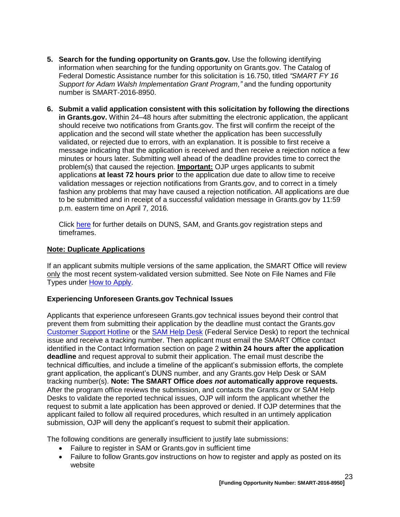- **5. Search for the funding opportunity on Grants.gov.** Use the following identifying information when searching for the funding opportunity on Grants.gov. The Catalog of Federal Domestic Assistance number for this solicitation is 16.750, titled *"SMART FY 16 Support for Adam Walsh Implementation Grant Program,"* and the funding opportunity number is SMART-2016-8950.
- **6. Submit a valid application consistent with this solicitation by following the directions in Grants.gov.** Within 24–48 hours after submitting the electronic application, the applicant should receive two notifications from Grants.gov. The first will confirm the receipt of the application and the second will state whether the application has been successfully validated, or rejected due to errors, with an explanation. It is possible to first receive a message indicating that the application is received and then receive a rejection notice a few minutes or hours later. Submitting well ahead of the deadline provides time to correct the problem(s) that caused the rejection. **Important:** OJP urges applicants to submit applications **at least 72 hours prior** to the application due date to allow time to receive validation messages or rejection notifications from Grants.gov, and to correct in a timely fashion any problems that may have caused a rejection notification. All applications are due to be submitted and in receipt of a successful validation message in Grants.gov by 11:59 p.m. eastern time on April 7*,* 2016*.*

Click [here](http://www.grants.gov/web/grants/applicants/organization-registration.html) for further details on DUNS, SAM, and Grants.gov registration steps and timeframes.

## **Note: Duplicate Applications**

If an applicant submits multiple versions of the same application, the SMART Office will review only the most recent system-validated version submitted. See Note on File Names and File Types under [How to Apply.](#page-20-0)

# **Experiencing Unforeseen Grants.gov Technical Issues**

Applicants that experience unforeseen Grants.gov technical issues beyond their control that prevent them from submitting their application by the deadline must contact the Grants.gov [Customer Support Hotline](http://www.grants.gov/web/grants/about/contact-us.html) or the [SAM Help Desk](https://www.fsd.gov/fsd-gov/home.do) (Federal Service Desk) to report the technical issue and receive a tracking number. Then applicant must email the SMART Office contact identified in the Contact Information section on page 2 **within 24 hours after the application deadline** and request approval to submit their application. The email must describe the technical difficulties, and include a timeline of the applicant's submission efforts, the complete grant application, the applicant's DUNS number, and any Grants.gov Help Desk or SAM tracking number(s). **Note: The SMART Office** *does not* **automatically approve requests***.* After the program office reviews the submission, and contacts the Grants.gov or SAM Help Desks to validate the reported technical issues, OJP will inform the applicant whether the request to submit a late application has been approved or denied. If OJP determines that the applicant failed to follow all required procedures, which resulted in an untimely application submission, OJP will deny the applicant's request to submit their application.

The following conditions are generally insufficient to justify late submissions:

- Failure to register in SAM or Grants.gov in sufficient time
- Failure to follow Grants.gov instructions on how to register and apply as posted on its website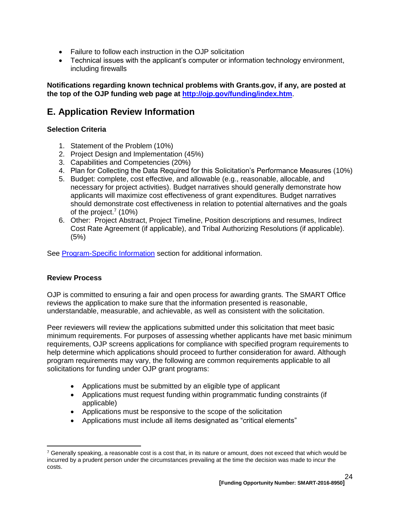- Failure to follow each instruction in the OJP solicitation
- Technical issues with the applicant's computer or information technology environment, including firewalls

**Notifications regarding known technical problems with Grants.gov, if any, are posted at the top of the OJP funding web page at <http://ojp.gov/funding/index.htm>**.

# <span id="page-23-0"></span>**E. Application Review Information**

## <span id="page-23-1"></span>**Selection Criteria**

- 1. Statement of the Problem (10%)
- 2. Project Design and Implementation (45%)
- 3. Capabilities and Competencies (20%)
- 4. Plan for Collecting the Data Required for this Solicitation's Performance Measures (10%)
- 5. Budget: complete, cost effective, and allowable (e.g., reasonable, allocable, and necessary for project activities). Budget narratives should generally demonstrate how applicants will maximize cost effectiveness of grant expenditures. Budget narratives should demonstrate cost effectiveness in relation to potential alternatives and the goals of the project.<sup>7</sup> (10%)
- 6. Other: Project Abstract, Project Timeline, Position descriptions and resumes, Indirect Cost Rate Agreement (if applicable), and Tribal Authorizing Resolutions (if applicable). (5%)

See Program-Specific Information section for additional information.

#### <span id="page-23-2"></span>**Review Process**

 $\overline{a}$ 

OJP is committed to ensuring a fair and open process for awarding grants. The SMART Office reviews the application to make sure that the information presented is reasonable, understandable, measurable, and achievable, as well as consistent with the solicitation.

Peer reviewers will review the applications submitted under this solicitation that meet basic minimum requirements. For purposes of assessing whether applicants have met basic minimum requirements, OJP screens applications for compliance with specified program requirements to help determine which applications should proceed to further consideration for award. Although program requirements may vary, the following are common requirements applicable to all solicitations for funding under OJP grant programs:

- Applications must be submitted by an eligible type of applicant
- Applications must request funding within programmatic funding constraints (if applicable)
- Applications must be responsive to the scope of the solicitation
- Applications must include all items designated as "critical elements"

 $7$  Generally speaking, a reasonable cost is a cost that, in its nature or amount, does not exceed that which would be incurred by a prudent person under the circumstances prevailing at the time the decision was made to incur the costs.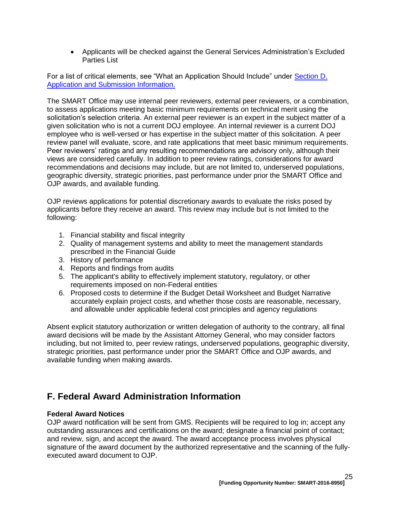Applicants will be checked against the General Services Administration's Excluded Parties List

For a list of critical elements, see "What an Application Should Include" under [Section D.](#page-10-1)  [Application and Submission Information.](#page-10-1)

The SMART Office may use internal peer reviewers, external peer reviewers, or a combination, to assess applications meeting basic minimum requirements on technical merit using the solicitation's selection criteria. An external peer reviewer is an expert in the subject matter of a given solicitation who is not a current DOJ employee. An internal reviewer is a current DOJ employee who is well-versed or has expertise in the subject matter of this solicitation. A peer review panel will evaluate, score, and rate applications that meet basic minimum requirements. Peer reviewers' ratings and any resulting recommendations are advisory only, although their views are considered carefully. In addition to peer review ratings, considerations for award recommendations and decisions may include, but are not limited to, underserved populations, geographic diversity, strategic priorities, past performance under prior the SMART Office and OJP awards, and available funding.

OJP reviews applications for potential discretionary awards to evaluate the risks posed by applicants before they receive an award. This review may include but is not limited to the following:

- 1. Financial stability and fiscal integrity
- 2. Quality of management systems and ability to meet the management standards prescribed in the Financial Guide
- 3. History of performance
- 4. Reports and findings from audits
- 5. The applicant's ability to effectively implement statutory, regulatory, or other requirements imposed on non-Federal entities
- 6. Proposed costs to determine if the Budget Detail Worksheet and Budget Narrative accurately explain project costs, and whether those costs are reasonable, necessary, and allowable under applicable federal cost principles and agency regulations

Absent explicit statutory authorization or written delegation of authority to the contrary, all final award decisions will be made by the Assistant Attorney General, who may consider factors including, but not limited to, peer review ratings, underserved populations, geographic diversity, strategic priorities, past performance under prior the SMART Office and OJP awards, and available funding when making awards.

# <span id="page-24-0"></span>**F. Federal Award Administration Information**

#### <span id="page-24-1"></span>**Federal Award Notices**

OJP award notification will be sent from GMS. Recipients will be required to log in; accept any outstanding assurances and certifications on the award; designate a financial point of contact; and review, sign, and accept the award. The award acceptance process involves physical signature of the award document by the authorized representative and the scanning of the fullyexecuted award document to OJP.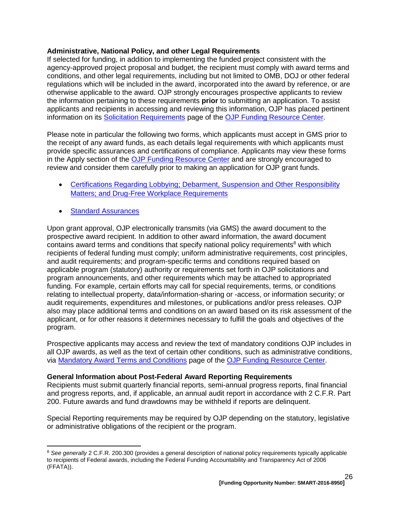#### <span id="page-25-0"></span>**Administrative, National Policy, and other Legal Requirements**

If selected for funding, in addition to implementing the funded project consistent with the agency-approved project proposal and budget, the recipient must comply with award terms and conditions, and other legal requirements, including but not limited to OMB, DOJ or other federal regulations which will be included in the award, incorporated into the award by reference, or are otherwise applicable to the award. OJP strongly encourages prospective applicants to review the information pertaining to these requirements **prior** to submitting an application. To assist applicants and recipients in accessing and reviewing this information, OJP has placed pertinent information on its [Solicitation Requirements](http://ojp.gov/funding/Explore/SolicitationRequirements/index.htm) page of the [OJP Funding Resource Center.](http://ojp.gov/funding/index.htm)

Please note in particular the following two forms, which applicants must accept in GMS prior to the receipt of any award funds, as each details legal requirements with which applicants must provide specific assurances and certifications of compliance. Applicants may view these forms in the Apply section of the [OJP Funding Resource Center](http://ojp.gov/funding/index.htm) and are strongly encouraged to review and consider them carefully prior to making an application for OJP grant funds.

- Certifications Regarding Lobbying: Debarment, Suspension and Other Responsibility [Matters; and Drug-Free Workplace Requirements](http://ojp.gov/funding/Apply/Resources/Certifications.pdf)
- [Standard Assurances](http://ojp.gov/funding/Apply/Resources/StandardAssurances.pdf)

 $\overline{a}$ 

Upon grant approval, OJP electronically transmits (via GMS) the award document to the prospective award recipient. In addition to other award information, the award document contains award terms and conditions that specify national policy requirements<sup>8</sup> with which recipients of federal funding must comply; uniform administrative requirements, cost principles, and audit requirements; and program-specific terms and conditions required based on applicable program (statutory) authority or requirements set forth in OJP solicitations and program announcements, and other requirements which may be attached to appropriated funding. For example, certain efforts may call for special requirements, terms, or conditions relating to intellectual property, data/information-sharing or -access, or information security; or audit requirements, expenditures and milestones, or publications and/or press releases. OJP also may place additional terms and conditions on an award based on its risk assessment of the applicant, or for other reasons it determines necessary to fulfill the goals and objectives of the program.

Prospective applicants may access and review the text of mandatory conditions OJP includes in all OJP awards, as well as the text of certain other conditions, such as administrative conditions, via [Mandatory Award Terms and Conditions](http://ojp.gov/funding/Explore/SolicitationRequirements/MandatoryTermsConditions.htm) page of the [OJP Funding Resource Center.](http://ojp.gov/funding/index.htm)

#### <span id="page-25-1"></span>**General Information about Post-Federal Award Reporting Requirements**

Recipients must submit quarterly financial reports, semi-annual progress reports, final financial and progress reports, and, if applicable, an annual audit report in accordance with 2 C.F.R. Part 200. Future awards and fund drawdowns may be withheld if reports are delinquent.

Special Reporting requirements may be required by OJP depending on the statutory, legislative or administrative obligations of the recipient or the program.

<sup>&</sup>lt;sup>8</sup> See generally 2 C.F.R. 200.300 (provides a general description of national policy requirements typically applicable to recipients of Federal awards, including the Federal Funding Accountability and Transparency Act of 2006 (FFATA)).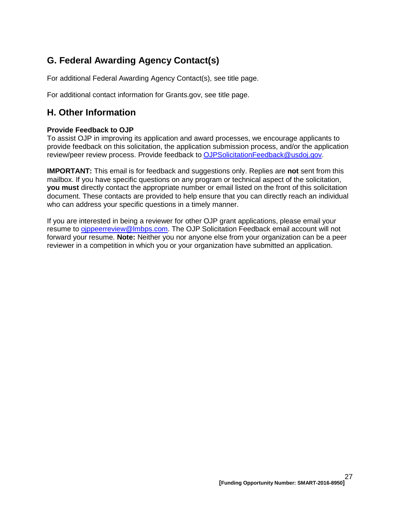# <span id="page-26-0"></span>**G. Federal Awarding Agency Contact(s)**

For additional Federal Awarding Agency Contact(s), see title page.

For additional contact information for Grants.gov, see title page.

# <span id="page-26-1"></span>**H. Other Information**

# <span id="page-26-2"></span>**Provide Feedback to OJP**

To assist OJP in improving its application and award processes, we encourage applicants to provide feedback on this solicitation, the application submission process, and/or the application review/peer review process. Provide feedback to [OJPSolicitationFeedback@usdoj.gov.](mailto:OJPSolicitationFeedback@usdoj.gov)

**IMPORTANT:** This email is for feedback and suggestions only. Replies are **not** sent from this mailbox. If you have specific questions on any program or technical aspect of the solicitation, **you must** directly contact the appropriate number or email listed on the front of this solicitation document. These contacts are provided to help ensure that you can directly reach an individual who can address your specific questions in a timely manner.

If you are interested in being a reviewer for other OJP grant applications, please email your resume to [ojppeerreview@lmbps.com.](mailto:ojppeerreview@lmbps.com) The OJP Solicitation Feedback email account will not forward your resume. **Note:** Neither you nor anyone else from your organization can be a peer reviewer in a competition in which you or your organization have submitted an application.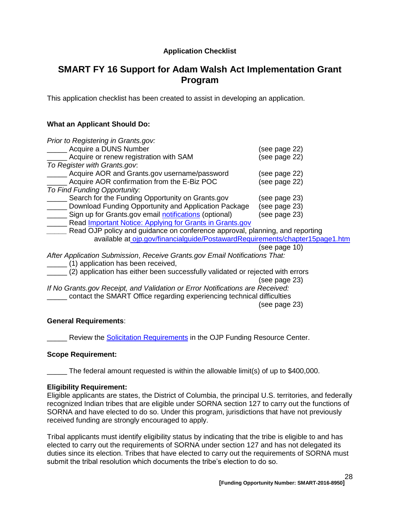# **Application Checklist**

# <span id="page-27-0"></span>**SMART FY 16 Support for Adam Walsh Act Implementation Grant Program**

This application checklist has been created to assist in developing an application.

# **What an Applicant Should Do:**

| Prior to Registering in Grants.gov:                                          |               |
|------------------------------------------------------------------------------|---------------|
| Acquire a DUNS Number                                                        | (see page 22) |
| Acquire or renew registration with SAM                                       | (see page 22) |
| To Register with Grants.gov.                                                 |               |
| Acquire AOR and Grants.gov username/password                                 | (see page 22) |
| Acquire AOR confirmation from the E-Biz POC                                  | (see page 22) |
| To Find Funding Opportunity:                                                 |               |
| Search for the Funding Opportunity on Grants.gov                             | (see page 23) |
| Download Funding Opportunity and Application Package                         | (see page 23) |
| Sign up for Grants.gov email notifications (optional)                        | (see page 23) |
| Read Important Notice: Applying for Grants in Grants.gov                     |               |
| Read OJP policy and guidance on conference approval, planning, and reporting |               |
| available at ojp.gov/financialguide/PostawardRequirements/chapter15page1.htm |               |
|                                                                              | (see page 10) |
| After Application Submission, Receive Grants.gov Email Notifications That:   |               |

\_\_\_\_\_ (1) application has been received,

\_\_\_\_\_ (2) application has either been successfully validated or rejected with errors

(see page 23)

*If No Grants.gov Receipt, and Validation or Error Notifications are Received:* \_\_\_\_\_ contact the SMART Office regarding experiencing technical difficulties (see page 23)

#### **General Requirements**:

Review the Solicitation [Requirements](http://ojp.gov/funding/Explore/SolicitationRequirements/index.htm) in the OJP Funding Resource Center.

#### **Scope Requirement:**

The federal amount requested is within the allowable limit(s) of up to \$400,000.

#### **Eligibility Requirement:**

Eligible applicants are states, the District of Columbia, the principal U.S. territories, and federally recognized Indian tribes that are eligible under SORNA section 127 to carry out the functions of SORNA and have elected to do so. Under this program, jurisdictions that have not previously received funding are strongly encouraged to apply.

Tribal applicants must identify eligibility status by indicating that the tribe is eligible to and has elected to carry out the requirements of SORNA under section 127 and has not delegated its duties since its election. Tribes that have elected to carry out the requirements of SORNA must submit the tribal resolution which documents the tribe's election to do so.